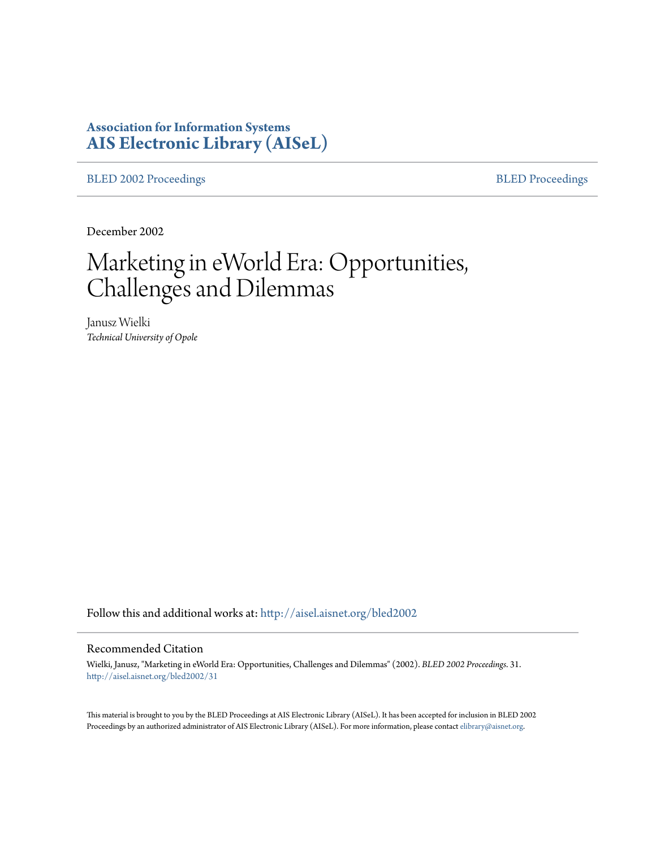# **Association for Information Systems [AIS Electronic Library \(AISeL\)](http://aisel.aisnet.org?utm_source=aisel.aisnet.org%2Fbled2002%2F31&utm_medium=PDF&utm_campaign=PDFCoverPages)**

[BLED 2002 Proceedings](http://aisel.aisnet.org/bled2002?utm_source=aisel.aisnet.org%2Fbled2002%2F31&utm_medium=PDF&utm_campaign=PDFCoverPages) **[BLED Proceedings](http://aisel.aisnet.org/bled?utm_source=aisel.aisnet.org%2Fbled2002%2F31&utm_medium=PDF&utm_campaign=PDFCoverPages)** 

December 2002

# Marketing in eWorld Era: Opportunities, Challenges and Dilemmas

Janusz Wielki *Technical University of Opole*

Follow this and additional works at: [http://aisel.aisnet.org/bled2002](http://aisel.aisnet.org/bled2002?utm_source=aisel.aisnet.org%2Fbled2002%2F31&utm_medium=PDF&utm_campaign=PDFCoverPages)

#### Recommended Citation

Wielki, Janusz, "Marketing in eWorld Era: Opportunities, Challenges and Dilemmas" (2002). *BLED 2002 Proceedings*. 31. [http://aisel.aisnet.org/bled2002/31](http://aisel.aisnet.org/bled2002/31?utm_source=aisel.aisnet.org%2Fbled2002%2F31&utm_medium=PDF&utm_campaign=PDFCoverPages)

This material is brought to you by the BLED Proceedings at AIS Electronic Library (AISeL). It has been accepted for inclusion in BLED 2002 Proceedings by an authorized administrator of AIS Electronic Library (AISeL). For more information, please contact [elibrary@aisnet.org](mailto:elibrary@aisnet.org%3E).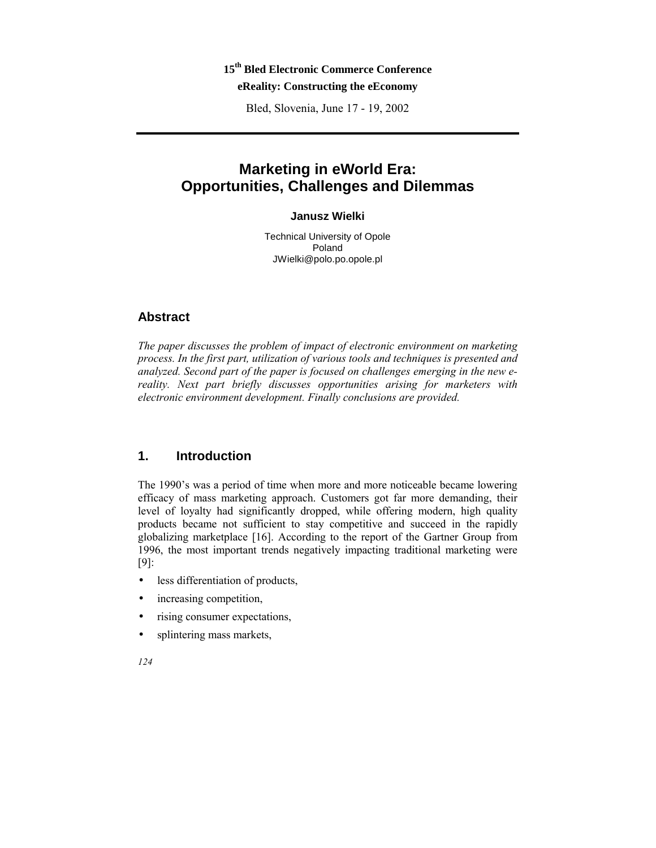## **15th Bled Electronic Commerce Conference eReality: Constructing the eEconomy**

Bled, Slovenia, June 17 - 19, 2002

# **Marketing in eWorld Era: Opportunities, Challenges and Dilemmas**

#### **Janusz Wielki**

Technical University of Opole Poland JWielki@polo.po.opole.pl

#### **Abstract**

*The paper discusses the problem of impact of electronic environment on marketing process. In the first part, utilization of various tools and techniques is presented and analyzed. Second part of the paper is focused on challenges emerging in the new ereality. Next part briefly discusses opportunities arising for marketers with electronic environment development. Finally conclusions are provided.* 

#### **1. Introduction**

The 1990's was a period of time when more and more noticeable became lowering efficacy of mass marketing approach. Customers got far more demanding, their level of loyalty had significantly dropped, while offering modern, high quality products became not sufficient to stay competitive and succeed in the rapidly globalizing marketplace [16]. According to the report of the Gartner Group from 1996, the most important trends negatively impacting traditional marketing were [9]:

- less differentiation of products,
- increasing competition,
- rising consumer expectations,
- splintering mass markets,

*124*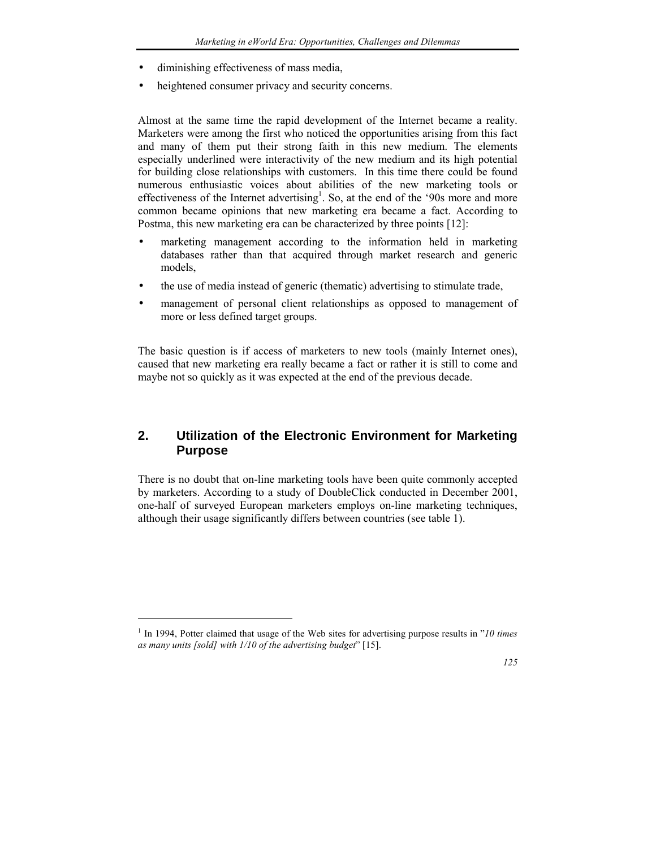- diminishing effectiveness of mass media,
- heightened consumer privacy and security concerns.

Almost at the same time the rapid development of the Internet became a reality. Marketers were among the first who noticed the opportunities arising from this fact and many of them put their strong faith in this new medium. The elements especially underlined were interactivity of the new medium and its high potential for building close relationships with customers. In this time there could be found numerous enthusiastic voices about abilities of the new marketing tools or effectiveness of the Internet advertising<sup>1</sup>. So, at the end of the '90s more and more common became opinions that new marketing era became a fact. According to Postma, this new marketing era can be characterized by three points [12]:

- marketing management according to the information held in marketing databases rather than that acquired through market research and generic models,
- the use of media instead of generic (thematic) advertising to stimulate trade,
- management of personal client relationships as opposed to management of more or less defined target groups.

The basic question is if access of marketers to new tools (mainly Internet ones), caused that new marketing era really became a fact or rather it is still to come and maybe not so quickly as it was expected at the end of the previous decade.

## **2. Utilization of the Electronic Environment for Marketing Purpose**

There is no doubt that on-line marketing tools have been quite commonly accepted by marketers. According to a study of DoubleClick conducted in December 2001, one-half of surveyed European marketers employs on-line marketing techniques, although their usage significantly differs between countries (see table 1).

 $\overline{a}$ 



<sup>&</sup>lt;sup>1</sup> In 1994, Potter claimed that usage of the Web sites for advertising purpose results in "10 times *as many units [sold] with 1/10 of the advertising budget*î [15].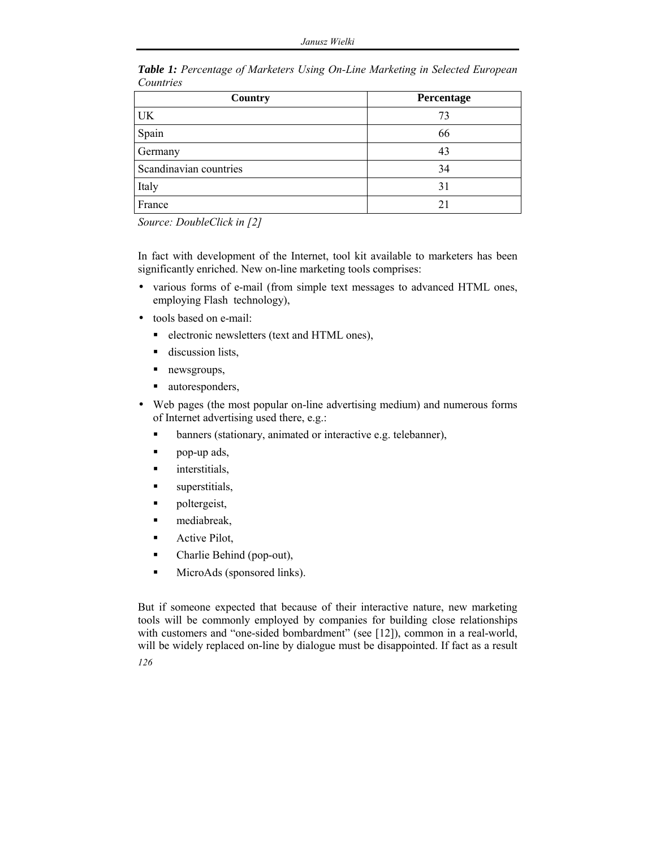| Country                | Percentage     |
|------------------------|----------------|
| UK                     | 73             |
| Spain                  | 66             |
| Germany                | 43             |
| Scandinavian countries | 34             |
| Italy                  | 31             |
| France                 | 2 <sub>1</sub> |

*Table 1: Percentage of Marketers Using On-Line Marketing in Selected European Countries* 

*Source: DoubleClick in [2]* 

In fact with development of the Internet, tool kit available to marketers has been significantly enriched. New on-line marketing tools comprises:

- various forms of e-mail (from simple text messages to advanced HTML ones, employing Flash technology),
- tools based on e-mail:
	- **·** electronic newsletters (text and HTML ones),
	- **discussion lists,**
	- newsgroups,
	- autoresponders,
- Web pages (the most popular on-line advertising medium) and numerous forms of Internet advertising used there, e.g.:
	- ! banners (stationary, animated or interactive e.g. telebanner),
	- ! pop-up ads,
	- **nd** interstitials,
	- **Exercise 1** superstitials,
	- **Person** poltergeist,
	- mediabreak,
	- **Exercise 2** Active Pilot,
	- ! Charlie Behind (pop-out),
	- ! MicroAds (sponsored links).

But if someone expected that because of their interactive nature, new marketing tools will be commonly employed by companies for building close relationships with customers and "one-sided bombardment" (see [12]), common in a real-world, will be widely replaced on-line by dialogue must be disappointed. If fact as a result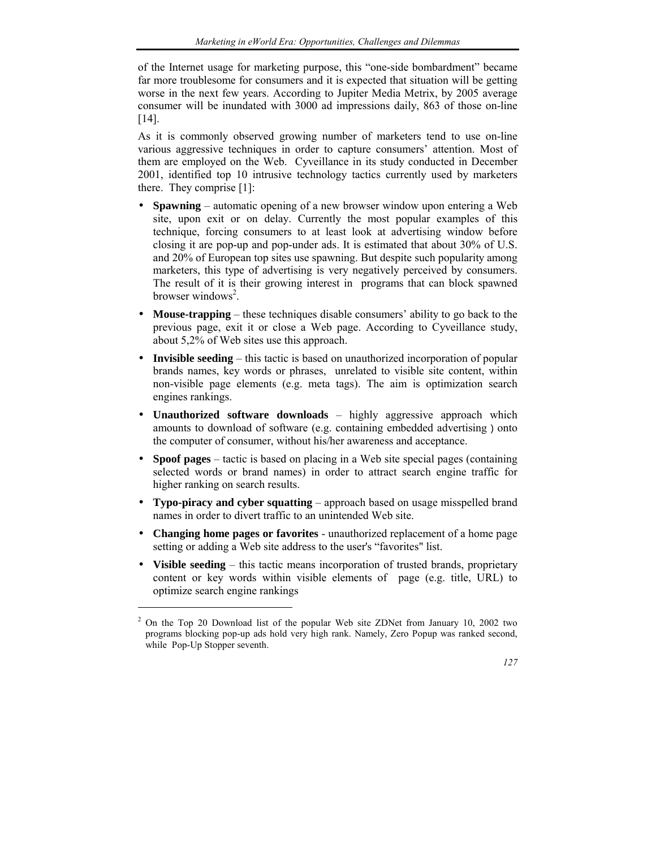of the Internet usage for marketing purpose, this "one-side bombardment" became far more troublesome for consumers and it is expected that situation will be getting worse in the next few years. According to Jupiter Media Metrix, by 2005 average consumer will be inundated with 3000 ad impressions daily, 863 of those on-line [14].

As it is commonly observed growing number of marketers tend to use on-line various aggressive techniques in order to capture consumers' attention. Most of them are employed on the Web. Cyveillance in its study conducted in December 2001, identified top 10 intrusive technology tactics currently used by marketers there. They comprise [1]:

- **Spawning** automatic opening of a new browser window upon entering a Web site, upon exit or on delay. Currently the most popular examples of this technique, forcing consumers to at least look at advertising window before closing it are pop-up and pop-under ads. It is estimated that about 30% of U.S. and 20% of European top sites use spawning. But despite such popularity among marketers, this type of advertising is very negatively perceived by consumers. The result of it is their growing interest in programs that can block spawned browser windows<sup>2</sup>.
- **Mouse-trapping** these techniques disable consumers' ability to go back to the previous page, exit it or close a Web page. According to Cyveillance study, about 5,2% of Web sites use this approach.
- **Invisible seeding** this tactic is based on unauthorized incorporation of popular brands names, key words or phrases, unrelated to visible site content, within non-visible page elements (e.g. meta tags). The aim is optimization search engines rankings.
- **Unauthorized software downloads** highly aggressive approach which amounts to download of software (e.g. containing embedded advertising ) onto the computer of consumer, without his/her awareness and acceptance.
- **Spoof pages** tactic is based on placing in a Web site special pages (containing selected words or brand names) in order to attract search engine traffic for higher ranking on search results.
- **Typo-piracy and cyber squatting** approach based on usage misspelled brand names in order to divert traffic to an unintended Web site.
- **Changing home pages or favorites** unauthorized replacement of a home page setting or adding a Web site address to the user's "favorites" list.
- **Visible seeding** this tactic means incorporation of trusted brands, proprietary content or key words within visible elements of page (e.g. title, URL) to optimize search engine rankings

l

 $2$  On the Top 20 Download list of the popular Web site ZDNet from January 10, 2002 two programs blocking pop-up ads hold very high rank. Namely, Zero Popup was ranked second, while Pop-Up Stopper seventh.

*<sup>127</sup>*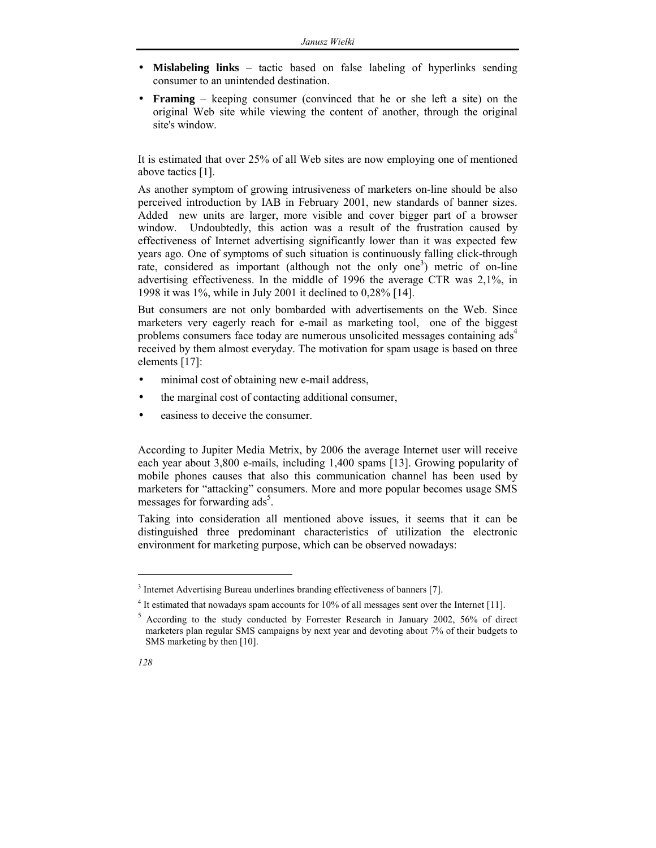- **Mislabeling links** tactic based on false labeling of hyperlinks sending consumer to an unintended destination.
- **Framing** keeping consumer (convinced that he or she left a site) on the original Web site while viewing the content of another, through the original site's window.

It is estimated that over 25% of all Web sites are now employing one of mentioned above tactics [1].

As another symptom of growing intrusiveness of marketers on-line should be also perceived introduction by IAB in February 2001, new standards of banner sizes. Added new units are larger, more visible and cover bigger part of a browser window. Undoubtedly, this action was a result of the frustration caused by effectiveness of Internet advertising significantly lower than it was expected few years ago. One of symptoms of such situation is continuously falling click-through rate, considered as important (although not the only one<sup>3</sup>) metric of on-line advertising effectiveness. In the middle of 1996 the average CTR was 2,1%, in 1998 it was 1%, while in July 2001 it declined to 0,28% [14].

But consumers are not only bombarded with advertisements on the Web. Since marketers very eagerly reach for e-mail as marketing tool, one of the biggest problems consumers face today are numerous unsolicited messages containing ads<sup>4</sup> received by them almost everyday. The motivation for spam usage is based on three elements [17]:

- minimal cost of obtaining new e-mail address,
- the marginal cost of contacting additional consumer,
- easiness to deceive the consumer.

According to Jupiter Media Metrix, by 2006 the average Internet user will receive each year about 3,800 e-mails, including 1,400 spams [13]. Growing popularity of mobile phones causes that also this communication channel has been used by marketers for "attacking" consumers. More and more popular becomes usage SMS messages for forwarding  $\text{ads}^5$ .

Taking into consideration all mentioned above issues, it seems that it can be distinguished three predominant characteristics of utilization the electronic environment for marketing purpose, which can be observed nowadays:

<sup>5</sup> According to the study conducted by Forrester Research in January 2002, 56% of direct marketers plan regular SMS campaigns by next year and devoting about 7% of their budgets to SMS marketing by then [10].



 $\overline{a}$ 

<sup>&</sup>lt;sup>3</sup> Internet Advertising Bureau underlines branding effectiveness of banners [7].

 $4$  It estimated that nowadays spam accounts for 10% of all messages sent over the Internet [11].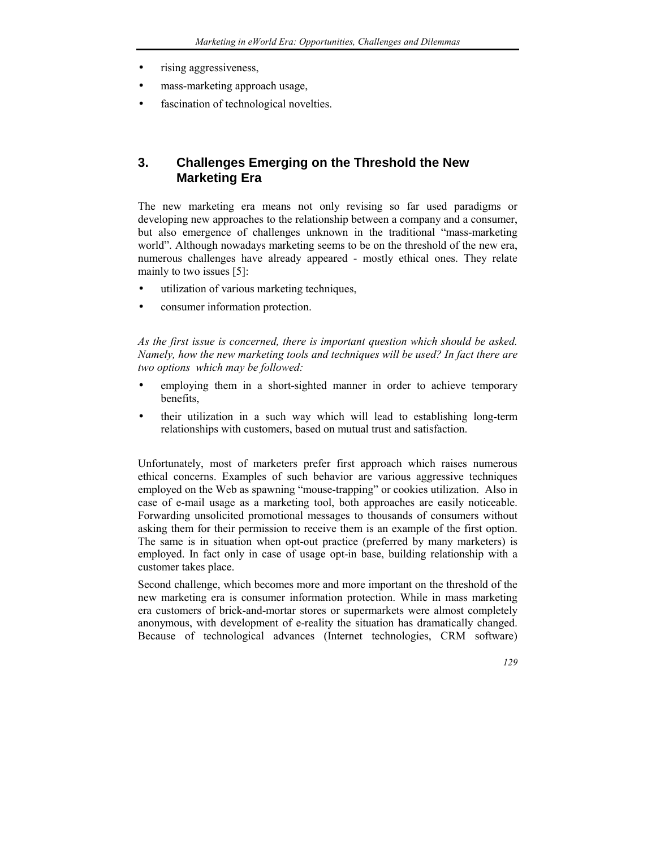- rising aggressiveness,
- mass-marketing approach usage,
- fascination of technological novelties.

## **3. Challenges Emerging on the Threshold the New Marketing Era**

The new marketing era means not only revising so far used paradigms or developing new approaches to the relationship between a company and a consumer, but also emergence of challenges unknown in the traditional "mass-marketing" world". Although nowadays marketing seems to be on the threshold of the new era, numerous challenges have already appeared - mostly ethical ones. They relate mainly to two issues [5]:

- utilization of various marketing techniques,
- consumer information protection.

*As the first issue is concerned, there is important question which should be asked. Namely, how the new marketing tools and techniques will be used? In fact there are two options which may be followed:* 

- employing them in a short-sighted manner in order to achieve temporary benefits,
- their utilization in a such way which will lead to establishing long-term relationships with customers, based on mutual trust and satisfaction.

Unfortunately, most of marketers prefer first approach which raises numerous ethical concerns. Examples of such behavior are various aggressive techniques employed on the Web as spawning "mouse-trapping" or cookies utilization. Also in case of e-mail usage as a marketing tool, both approaches are easily noticeable. Forwarding unsolicited promotional messages to thousands of consumers without asking them for their permission to receive them is an example of the first option. The same is in situation when opt-out practice (preferred by many marketers) is employed. In fact only in case of usage opt-in base, building relationship with a customer takes place.

Second challenge, which becomes more and more important on the threshold of the new marketing era is consumer information protection. While in mass marketing era customers of brick-and-mortar stores or supermarkets were almost completely anonymous, with development of e-reality the situation has dramatically changed. Because of technological advances (Internet technologies, CRM software)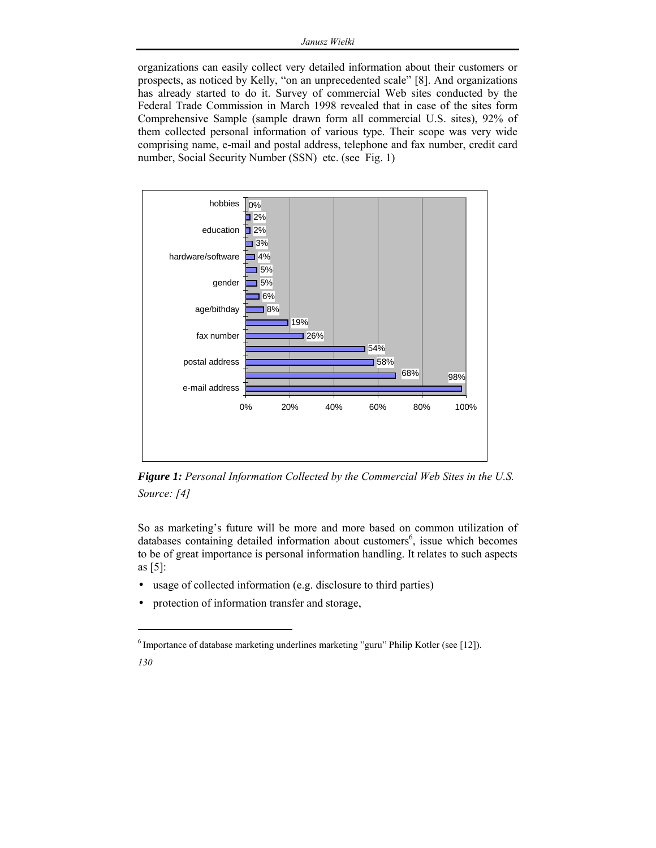organizations can easily collect very detailed information about their customers or prospects, as noticed by Kelly, "on an unprecedented scale" [8]. And organizations has already started to do it. Survey of commercial Web sites conducted by the Federal Trade Commission in March 1998 revealed that in case of the sites form Comprehensive Sample (sample drawn form all commercial U.S. sites), 92% of them collected personal information of various type. Their scope was very wide comprising name, e-mail and postal address, telephone and fax number, credit card number, Social Security Number (SSN) etc. (see Fig. 1)



*Figure 1: Personal Information Collected by the Commercial Web Sites in the U.S. Source: [4]* 

So as marketing's future will be more and more based on common utilization of databases containing detailed information about customers<sup>6</sup>, issue which becomes to be of great importance is personal information handling. It relates to such aspects as [5]:

- usage of collected information (e.g. disclosure to third parties)
- protection of information transfer and storage,

l

*<sup>130</sup>*  $6$  Importance of database marketing underlines marketing "guru" Philip Kotler (see [12]).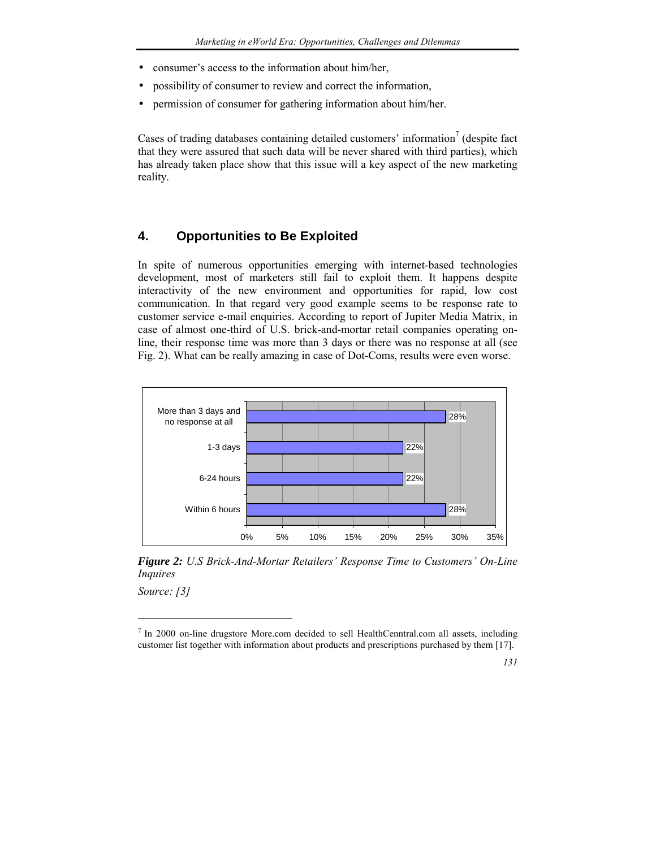- consumer's access to the information about him/her,
- possibility of consumer to review and correct the information,
- permission of consumer for gathering information about him/her.

Cases of trading databases containing detailed customers' information<sup>7</sup> (despite fact that they were assured that such data will be never shared with third parties), which has already taken place show that this issue will a key aspect of the new marketing reality.

#### **4. Opportunities to Be Exploited**

In spite of numerous opportunities emerging with internet-based technologies development, most of marketers still fail to exploit them. It happens despite interactivity of the new environment and opportunities for rapid, low cost communication. In that regard very good example seems to be response rate to customer service e-mail enquiries. According to report of Jupiter Media Matrix, in case of almost one-third of U.S. brick-and-mortar retail companies operating online, their response time was more than 3 days or there was no response at all (see Fig. 2). What can be really amazing in case of Dot-Coms, results were even worse.



*Figure 2: U.S Brick-And-Mortar Retailersí Response Time to Customersí On-Line Inquires* 

*Source: [3]* 

 $\overline{a}$ 

 $<sup>7</sup>$  In 2000 on-line drugstore More.com decided to sell HealthCenntral.com all assets, including</sup> customer list together with information about products and prescriptions purchased by them [17].

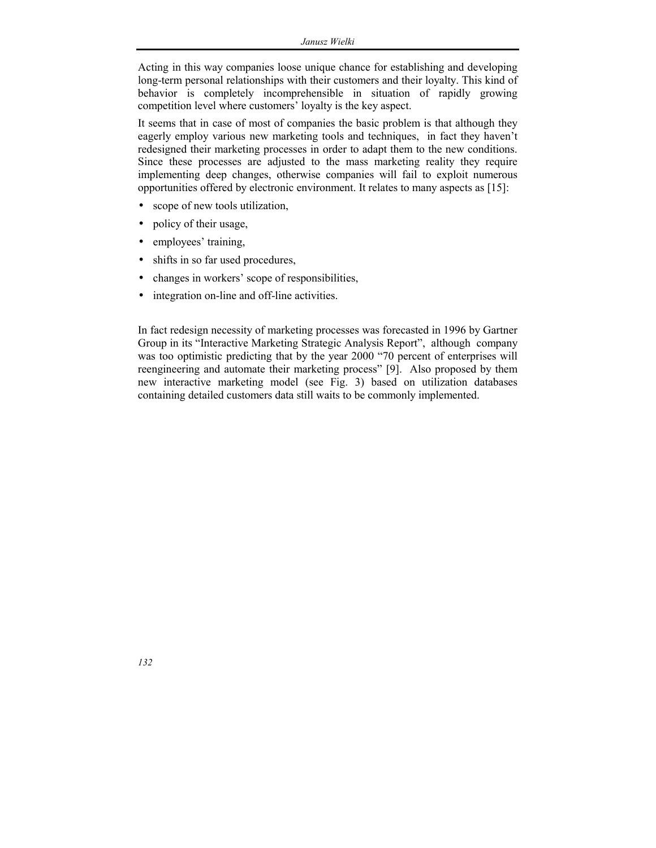Acting in this way companies loose unique chance for establishing and developing long-term personal relationships with their customers and their loyalty. This kind of behavior is completely incomprehensible in situation of rapidly growing competition level where customers' loyalty is the key aspect.

It seems that in case of most of companies the basic problem is that although they eagerly employ various new marketing tools and techniques, in fact they haven't redesigned their marketing processes in order to adapt them to the new conditions. Since these processes are adjusted to the mass marketing reality they require implementing deep changes, otherwise companies will fail to exploit numerous opportunities offered by electronic environment. It relates to many aspects as [15]:

- scope of new tools utilization,
- policy of their usage,
- employees' training,
- shifts in so far used procedures,
- changes in workers' scope of responsibilities,
- integration on-line and off-line activities.

In fact redesign necessity of marketing processes was forecasted in 1996 by Gartner Group in its "Interactive Marketing Strategic Analysis Report", although company was too optimistic predicting that by the year 2000 "70 percent of enterprises will reengineering and automate their marketing process" [9]. Also proposed by them new interactive marketing model (see Fig. 3) based on utilization databases containing detailed customers data still waits to be commonly implemented.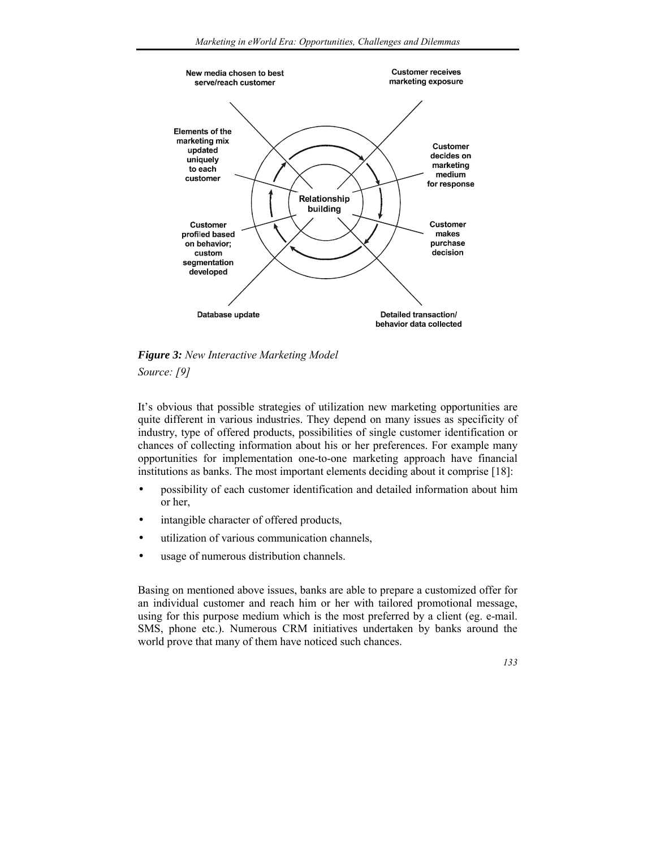

*Figure 3: New Interactive Marketing Model Source: [9]* 

Itís obvious that possible strategies of utilization new marketing opportunities are quite different in various industries. They depend on many issues as specificity of industry, type of offered products, possibilities of single customer identification or chances of collecting information about his or her preferences. For example many opportunities for implementation one-to-one marketing approach have financial institutions as banks. The most important elements deciding about it comprise [18]:

- possibility of each customer identification and detailed information about him or her,
- intangible character of offered products,
- utilization of various communication channels,
- usage of numerous distribution channels.

Basing on mentioned above issues, banks are able to prepare a customized offer for an individual customer and reach him or her with tailored promotional message, using for this purpose medium which is the most preferred by a client (eg. e-mail. SMS, phone etc.). Numerous CRM initiatives undertaken by banks around the world prove that many of them have noticed such chances.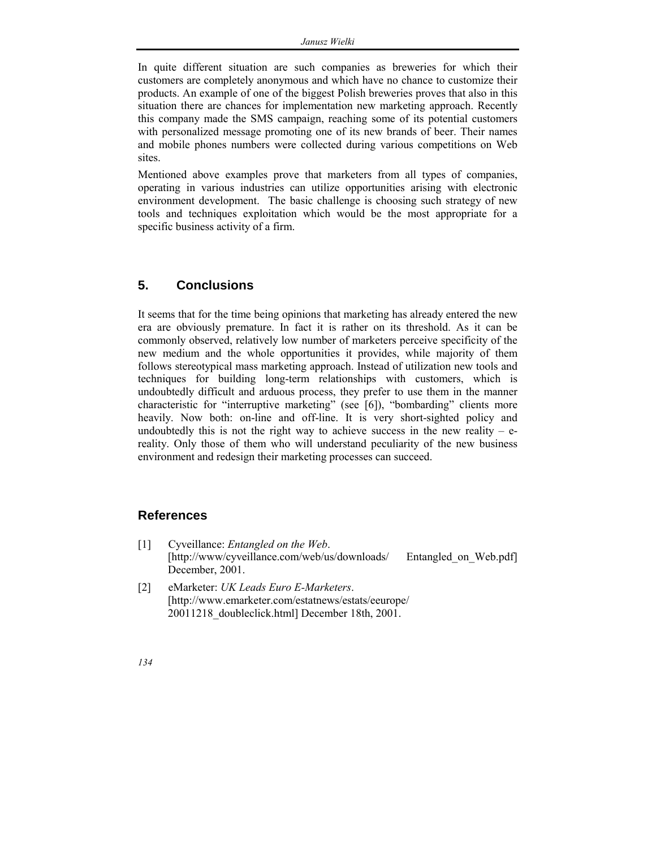In quite different situation are such companies as breweries for which their customers are completely anonymous and which have no chance to customize their products. An example of one of the biggest Polish breweries proves that also in this situation there are chances for implementation new marketing approach. Recently this company made the SMS campaign, reaching some of its potential customers with personalized message promoting one of its new brands of beer. Their names and mobile phones numbers were collected during various competitions on Web sites.

Mentioned above examples prove that marketers from all types of companies, operating in various industries can utilize opportunities arising with electronic environment development. The basic challenge is choosing such strategy of new tools and techniques exploitation which would be the most appropriate for a specific business activity of a firm.

#### **5. Conclusions**

It seems that for the time being opinions that marketing has already entered the new era are obviously premature. In fact it is rather on its threshold. As it can be commonly observed, relatively low number of marketers perceive specificity of the new medium and the whole opportunities it provides, while majority of them follows stereotypical mass marketing approach. Instead of utilization new tools and techniques for building long-term relationships with customers, which is undoubtedly difficult and arduous process, they prefer to use them in the manner characteristic for "interruptive marketing" (see [6]), "bombarding" clients more heavily. Now both: on-line and off-line. It is very short-sighted policy and undoubtedly this is not the right way to achieve success in the new reality  $-e$ reality. Only those of them who will understand peculiarity of the new business environment and redesign their marketing processes can succeed.

#### **References**

- [1] Cyveillance: *Entangled on the Web*. [http://www/cyveillance.com/web/us/downloads/ Entangled on Web.pdf] December, 2001.
- [2] eMarketer: *UK Leads Euro E-Marketers*. [http://www.emarketer.com/estatnews/estats/eeurope/ 20011218\_doubleclick.html] December 18th, 2001.